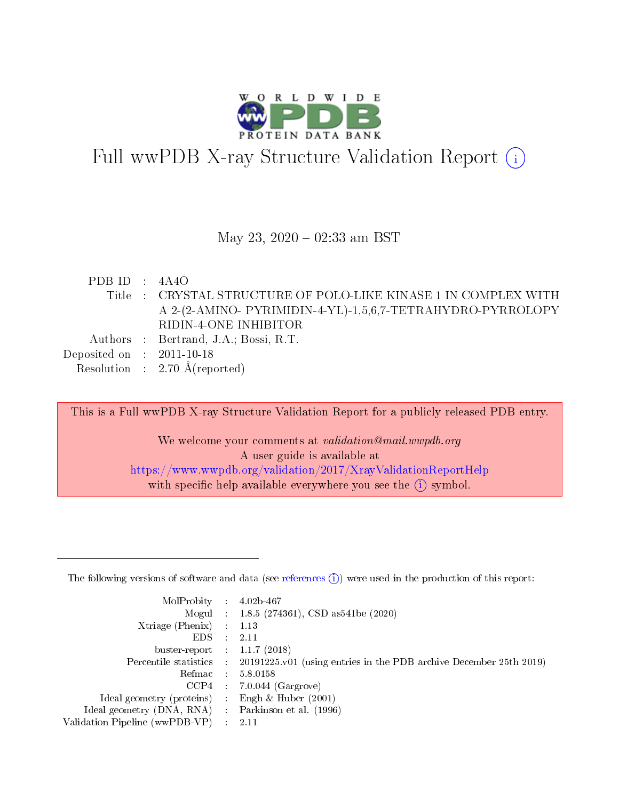

# Full wwPDB X-ray Structure Validation Report (i)

#### May 23,  $2020 - 02:33$  am BST

PDB ID : 4A4O Title : CRYSTAL STRUCTURE OF POLO-LIKE KINASE 1 IN COMPLEX WITH A 2-(2-AMINO- PYRIMIDIN-4-YL)-1,5,6,7-TETRAHYDRO-PYRROLOPY RIDIN-4-ONE INHIBITOR Authors : Bertrand, J.A.; Bossi, R.T. Deposited on : 2011-10-18 Resolution : 2.70 Å(reported)

This is a Full wwPDB X-ray Structure Validation Report for a publicly released PDB entry.

We welcome your comments at validation@mail.wwpdb.org A user guide is available at <https://www.wwpdb.org/validation/2017/XrayValidationReportHelp> with specific help available everywhere you see the  $(i)$  symbol.

The following versions of software and data (see [references](https://www.wwpdb.org/validation/2017/XrayValidationReportHelp#references)  $(1)$ ) were used in the production of this report:

| $MolProbability$ : 4.02b-467   |                          |                                                                                            |
|--------------------------------|--------------------------|--------------------------------------------------------------------------------------------|
|                                |                          | Mogul : $1.8.5$ (274361), CSD as 541be (2020)                                              |
| $X$ triage (Phenix) :          |                          | 1.13                                                                                       |
| EDS.                           | ÷                        | 2.11                                                                                       |
| buster-report : $1.1.7$ (2018) |                          |                                                                                            |
|                                |                          | Percentile statistics : 20191225.v01 (using entries in the PDB archive December 25th 2019) |
| Refmac                         |                          | 5.8.0158                                                                                   |
| CCP4                           |                          | $7.0.044$ (Gargrove)                                                                       |
| Ideal geometry (proteins)      |                          | Engh $\&$ Huber (2001)                                                                     |
| Ideal geometry (DNA, RNA) :    |                          | Parkinson et al. (1996)                                                                    |
| Validation Pipeline (wwPDB-VP) | $\mathcal{L}_{\rm{max}}$ | -2.11                                                                                      |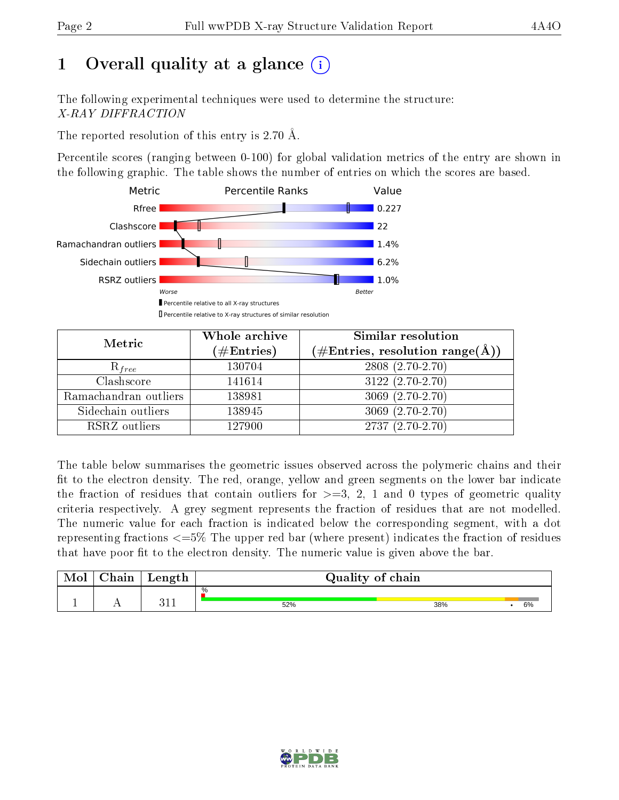# 1 [O](https://www.wwpdb.org/validation/2017/XrayValidationReportHelp#overall_quality)verall quality at a glance  $(i)$

The following experimental techniques were used to determine the structure: X-RAY DIFFRACTION

The reported resolution of this entry is 2.70 Å.

Percentile scores (ranging between 0-100) for global validation metrics of the entry are shown in the following graphic. The table shows the number of entries on which the scores are based.



| Metric                | Whole archive<br>$(\#\text{Entries})$ | Similar resolution<br>$(\#\text{Entries},\,\text{resolution}\,\,\text{range}(\textup{\AA}))$ |
|-----------------------|---------------------------------------|----------------------------------------------------------------------------------------------|
| $R_{free}$            | 130704                                | $2808(2.70-2.70)$                                                                            |
| Clashscore            | 141614                                | $3122(2.70-2.70)$                                                                            |
| Ramachandran outliers | 138981                                | $3069(2.70-2.70)$                                                                            |
| Sidechain outliers    | 138945                                | $3069(2.70-2.70)$                                                                            |
| RSRZ outliers         | 127900                                | $\overline{2737 (2.70-2.70)}$                                                                |

The table below summarises the geometric issues observed across the polymeric chains and their fit to the electron density. The red, orange, yellow and green segments on the lower bar indicate the fraction of residues that contain outliers for  $>=3, 2, 1$  and 0 types of geometric quality criteria respectively. A grey segment represents the fraction of residues that are not modelled. The numeric value for each fraction is indicated below the corresponding segment, with a dot representing fractions <=5% The upper red bar (where present) indicates the fraction of residues that have poor fit to the electron density. The numeric value is given above the bar.

| Mol | $\gamma$ hain | Length      | Quality of chain |     |    |
|-----|---------------|-------------|------------------|-----|----|
|     |               |             | %                |     |    |
|     |               | 011<br>ב בל | 52%              | 38% | 6% |

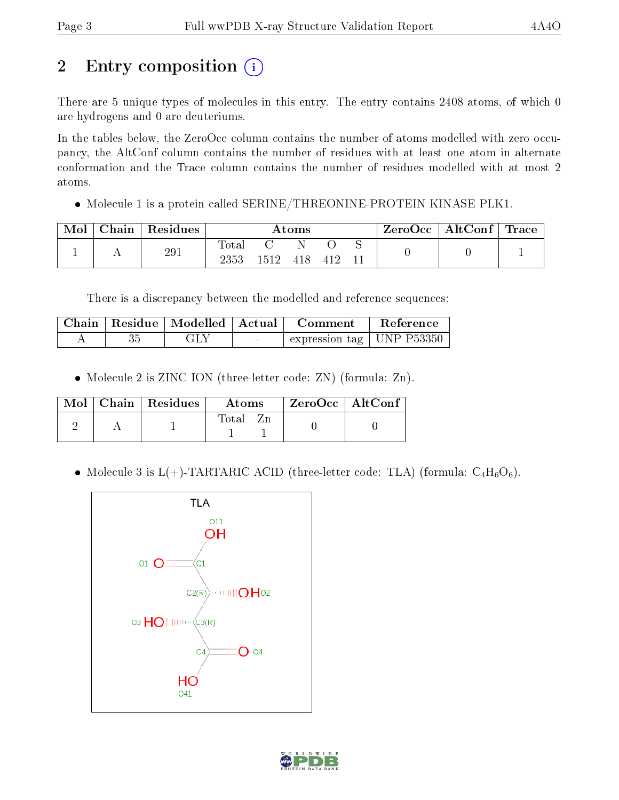# 2 Entry composition (i)

There are 5 unique types of molecules in this entry. The entry contains 2408 atoms, of which 0 are hydrogens and 0 are deuteriums.

In the tables below, the ZeroOcc column contains the number of atoms modelled with zero occupancy, the AltConf column contains the number of residues with at least one atom in alternate conformation and the Trace column contains the number of residues modelled with at most 2 atoms.

• Molecule 1 is a protein called SERINE/THREONINE-PROTEIN KINASE PLK1.

| Mol | Chain   Residues | Atoms         |         |     | $\text{ZeroOcc} \mid \text{AltConf} \mid \text{Trace} \mid$ |  |  |  |
|-----|------------------|---------------|---------|-----|-------------------------------------------------------------|--|--|--|
|     | 291              | Total<br>2353 | $-1512$ | 418 | 412                                                         |  |  |  |

There is a discrepancy between the modelled and reference sequences:

|  | Chain   Residue   Modelled   Actual |                                   | – Comment                                     | Reference |
|--|-------------------------------------|-----------------------------------|-----------------------------------------------|-----------|
|  | GLY                                 | <b>Contract Contract Contract</b> | $\perp$ expression tag $\parallel$ UNP P53350 |           |

• Molecule 2 is ZINC ION (three-letter code: ZN) (formula: Zn).

|  | $Mol$   Chain   Residues | Atoms | $ZeroOcc \   \ AltConf$ |
|--|--------------------------|-------|-------------------------|
|  |                          | Total |                         |

• Molecule 3 is  $L(+)$ -TARTARIC ACID (three-letter code: TLA) (formula:  $C_4H_6O_6$ ).



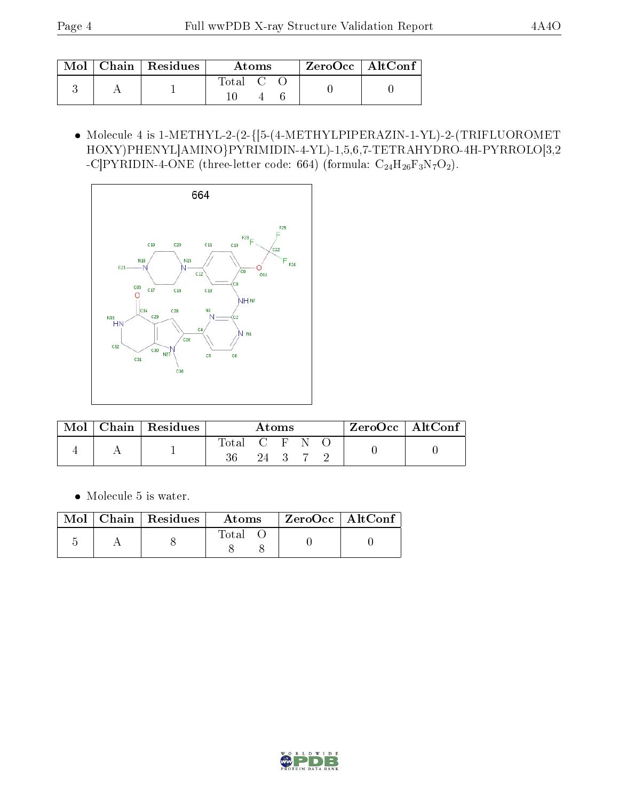|  | $\text{Mol}$   Chain   Residues | Atoms   |  | $\rm{ZeroOcc} \mid \rm{AltConf}$ |  |  |
|--|---------------------------------|---------|--|----------------------------------|--|--|
|  |                                 | Total C |  |                                  |  |  |

 Molecule 4 is 1-METHYL-2-(2-{[5-(4-METHYLPIPERAZIN-1-YL)-2-(TRIFLUOROMET HOXY)PHENYL]AMINO}PYRIMIDIN-4-YL)-1,5,6,7-TETRAHYDRO-4H-PYRROLO[3,2 -C]PYRIDIN-4-ONE (three-letter code: 664) (formula:  $C_{24}H_{26}F_3N_7O_2$ ).



| Mol | $\vert$ Chain $\vert$ Residues | Atoms         |      |  |  | $ZeroOcc$   AltConf |  |
|-----|--------------------------------|---------------|------|--|--|---------------------|--|
|     |                                | Total C F N O | 24 3 |  |  |                     |  |

Molecule 5 is water.

|  | $\parallel$ Mol $\parallel$ Chain $\parallel$ Residues $\parallel$ | Atoms         | $\rm ZeroOcc \mid AltConf \mid$ |
|--|--------------------------------------------------------------------|---------------|---------------------------------|
|  |                                                                    | $\Gamma$ otal |                                 |

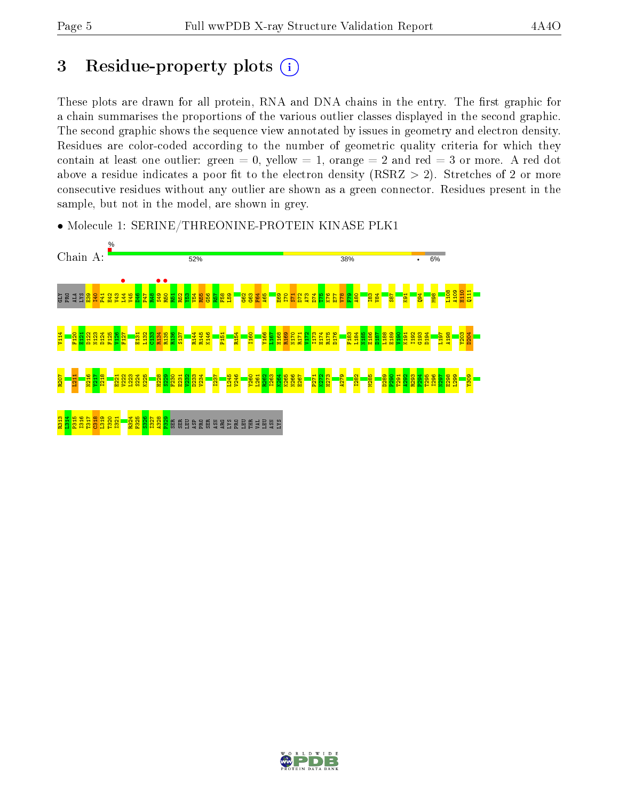# 3 Residue-property plots  $(i)$

These plots are drawn for all protein, RNA and DNA chains in the entry. The first graphic for a chain summarises the proportions of the various outlier classes displayed in the second graphic. The second graphic shows the sequence view annotated by issues in geometry and electron density. Residues are color-coded according to the number of geometric quality criteria for which they contain at least one outlier: green  $= 0$ , yellow  $= 1$ , orange  $= 2$  and red  $= 3$  or more. A red dot above a residue indicates a poor fit to the electron density (RSRZ  $> 2$ ). Stretches of 2 or more consecutive residues without any outlier are shown as a green connector. Residues present in the sample, but not in the model, are shown in grey.



• Molecule 1: SERINE/THREONINE-PROTEIN KINASE PLK1

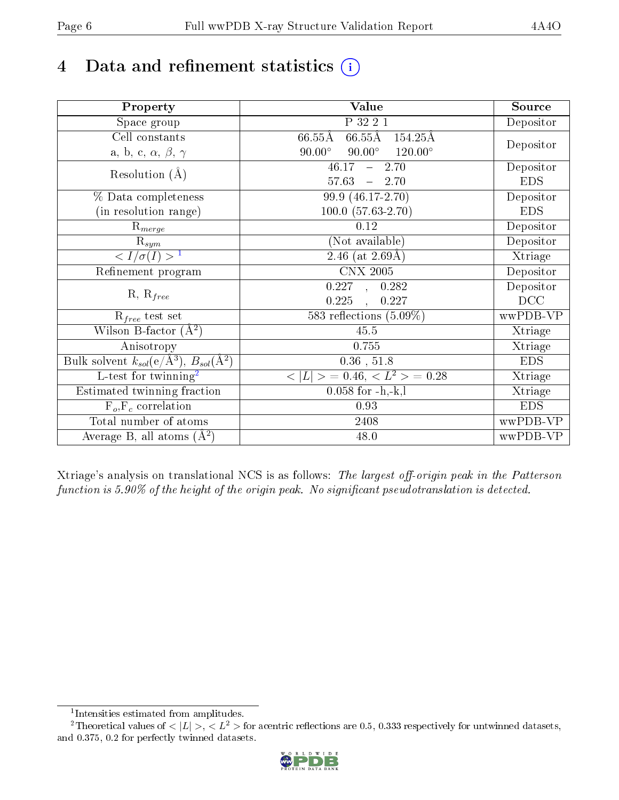# 4 Data and refinement statistics  $(i)$

| Property                                                             | Value                                              | Source     |
|----------------------------------------------------------------------|----------------------------------------------------|------------|
| Space group                                                          | P 32 2 1                                           | Depositor  |
| Cell constants                                                       | $66.55\text{\AA}$ 154.25Å<br>$66.55\text{\AA}$     | Depositor  |
| a, b, c, $\alpha$ , $\beta$ , $\gamma$                               | $90.00^\circ$<br>$90.00^\circ$<br>$120.00^{\circ}$ |            |
| Resolution $(A)$                                                     | 46.17<br>2.70<br>$\frac{1}{2}$                     | Depositor  |
|                                                                      | 57.63<br>$-2.70$                                   | <b>EDS</b> |
| % Data completeness                                                  | 99.9 (46.17-2.70)                                  | Depositor  |
| (in resolution range)                                                | $100.0 (57.63 - 2.70)$                             | <b>EDS</b> |
| $R_{merge}$                                                          | 0.12                                               | Depositor  |
| $\mathrm{R}_{sym}$                                                   | (Not available)                                    | Depositor  |
| $\langle I/\sigma(I) \rangle$ <sup>1</sup>                           | 2.46 (at $2.69\text{\AA})$                         | Xtriage    |
| Refinement program                                                   | <b>CNX 2005</b>                                    | Depositor  |
| $R, R_{free}$                                                        | 0.227,<br>0.282                                    | Depositor  |
|                                                                      | 0.225<br>0.227<br>$\overline{\phantom{a}}$         | DCC        |
| $\mathcal{R}_{free}$ test set                                        | 583 reflections $(5.09\%)$                         | wwPDB-VP   |
| Wilson B-factor $(A^2)$                                              | 45.5                                               | Xtriage    |
| Anisotropy                                                           | 0.755                                              | Xtriage    |
| Bulk solvent $k_{sol}(e/\mathring{A}^3)$ , $B_{sol}(\mathring{A}^2)$ | $\overline{0.36}$ , 51.8                           | <b>EDS</b> |
| L-test for twinning <sup>2</sup>                                     | $< L >$ = 0.46, $< L2$ > = 0.28                    | Xtriage    |
| Estimated twinning fraction                                          | $0.058$ for $-h,-k,l$                              | Xtriage    |
| $F_o, F_c$ correlation                                               | 0.93                                               | <b>EDS</b> |
| Total number of atoms                                                | 2408                                               | wwPDB-VP   |
| Average B, all atoms $(A^2)$                                         | 48.0                                               | wwPDB-VP   |

Xtriage's analysis on translational NCS is as follows: The largest off-origin peak in the Patterson function is  $5.90\%$  of the height of the origin peak. No significant pseudotranslation is detected.

<sup>&</sup>lt;sup>2</sup>Theoretical values of  $\langle |L| \rangle$ ,  $\langle L^2 \rangle$  for acentric reflections are 0.5, 0.333 respectively for untwinned datasets, and 0.375, 0.2 for perfectly twinned datasets.



<span id="page-5-1"></span><span id="page-5-0"></span><sup>1</sup> Intensities estimated from amplitudes.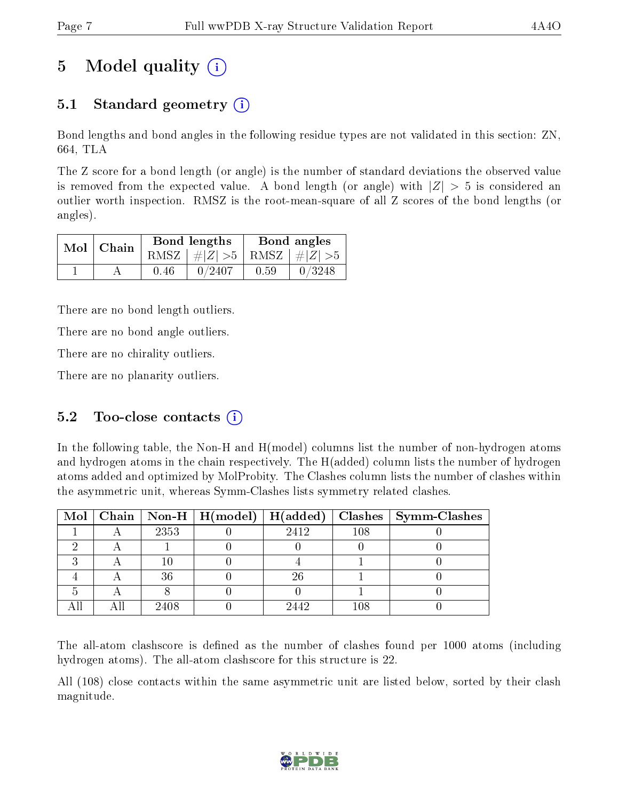# 5 Model quality  $(i)$

## 5.1 Standard geometry (i)

Bond lengths and bond angles in the following residue types are not validated in this section: ZN, 664, TLA

The Z score for a bond length (or angle) is the number of standard deviations the observed value is removed from the expected value. A bond length (or angle) with  $|Z| > 5$  is considered an outlier worth inspection. RMSZ is the root-mean-square of all Z scores of the bond lengths (or angles).

| $Mol$   Chain |      | Bond lengths                    | Bond angles |        |  |
|---------------|------|---------------------------------|-------------|--------|--|
|               |      | RMSZ $ #Z  > 5$ RMSZ $ #Z  > 5$ |             |        |  |
|               | 0.46 | 0/2407                          | 0.59        | 0/3248 |  |

There are no bond length outliers.

There are no bond angle outliers.

There are no chirality outliers.

There are no planarity outliers.

### 5.2 Too-close contacts  $(i)$

In the following table, the Non-H and H(model) columns list the number of non-hydrogen atoms and hydrogen atoms in the chain respectively. The H(added) column lists the number of hydrogen atoms added and optimized by MolProbity. The Clashes column lists the number of clashes within the asymmetric unit, whereas Symm-Clashes lists symmetry related clashes.

|  |      | Mol   Chain   Non-H   $H (model)$   $H (added)$ |      |     | $\vert$ Clashes $\vert$ Symm-Clashes |
|--|------|-------------------------------------------------|------|-----|--------------------------------------|
|  | 2353 |                                                 | 2412 | 108 |                                      |
|  |      |                                                 |      |     |                                      |
|  |      |                                                 |      |     |                                      |
|  | 36   |                                                 | 26   |     |                                      |
|  |      |                                                 |      |     |                                      |
|  | 2408 |                                                 | 9449 | 108 |                                      |

The all-atom clashscore is defined as the number of clashes found per 1000 atoms (including hydrogen atoms). The all-atom clashscore for this structure is 22.

All (108) close contacts within the same asymmetric unit are listed below, sorted by their clash magnitude.

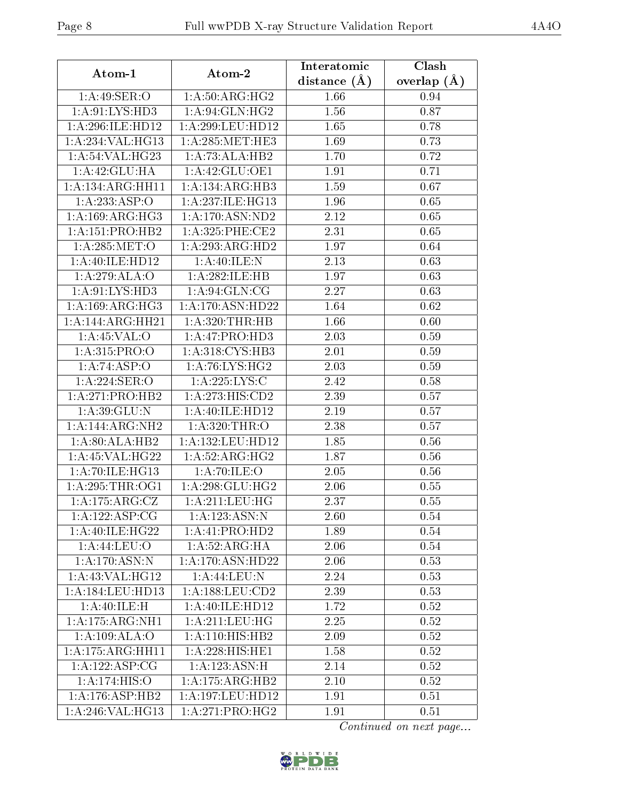| Atom-1                        | Atom-2                  | Interatomic      | Clash         |
|-------------------------------|-------------------------|------------------|---------------|
|                               |                         | distance $(\AA)$ | overlap $(A)$ |
| 1: A:49: SER:O                | 1: A:50: ARG: HG2       | 1.66             | 0.94          |
| 1: A:91: LYS: HD3             | 1:A:94:GLN:HG2          | 1.56             | 0.87          |
| 1:A:296:ILE:HD12              | 1: A:299:LEU:HD12       | 1.65             | 0.78          |
| 1:A:234:VAL:HG13              | 1: A:285:MET:HE3        | 1.69             | 0.73          |
| 1:A:54:VAL:HG23               | 1:A:73:ALA:HB2          | 1.70             | 0.72          |
| 1:A:42:GLU:HA                 | 1:A:42:GLU:OE1          | 1.91             | 0.71          |
| 1:A:134:ARG:HH11              | 1:A:134:ARG:HB3         | 1.59             | 0.67          |
| 1:A:233:ASP:O                 | 1:A:237:ILE:HG13        | 1.96             | 0.65          |
| 1:A:169:ARG:HG3               | 1:A:170:ASN:ND2         | 2.12             | 0.65          |
| 1: A: 151: PRO: HB2           | $1: A:325:$ PHE:CE2     | 2.31             | 0.65          |
| 1: A:285:MET:O                | 1:A:293:ARG:HD2         | 1.97             | 0.64          |
| 1: A:40: ILE: HD12            | 1: A:40: ILE:N          | 2.13             | 0.63          |
| 1:A:279:ALA:O                 | 1:A:282:ILE:HB          | 1.97             | 0.63          |
| 1:A:91:LYS:HD3                | 1: A:94: GLN: CG        | 2.27             | 0.63          |
| 1:A:169:ARG:HG3               | 1:A:170:ASN:HD22        | 1.64             | 0.62          |
| 1:A:144:ARG:HH21              | 1: A:320:THR:HB         | 1.66             | 0.60          |
| 1: A:45:VAL:O                 | 1:A:47:PRO:HD3          | 2.03             | 0.59          |
| 1:A:315:PRO:O                 | 1: A:318: CYS:HB3       | 2.01             | 0.59          |
| 1:A:74:ASP:O                  | 1:A:76:LYS:HG2          | 2.03             | 0.59          |
| 1:A:224:SER:O                 | 1:A:225:LYS:C           | 2.42             | $0.58\,$      |
| 1:A:271:PRO:HB2               | 1: A:273:HIS:CD2        | 2.39             | 0.57          |
| $1:$ A:39:GLU:N               | 1: A:40: ILE: HD12      | 2.19             | 0.57          |
| 1:A:144:ARG:NH2               | 1:A:320:THR:O           | 2.38             | 0.57          |
| 1:A:80:ALA:HB2                | 1: A: 132: LEU: HD12    | 1.85             | 0.56          |
| 1:A:45:VAL:HG22               | 1:A:52:ARG:HG2          | 1.87             | 0.56          |
| 1: A:70: ILE: HG13            | 1: A:70: ILE: O         | 2.05             | 0.56          |
| 1: A:295:THR:OG1              | 1: A:298: GLU:HG2       | 2.06             | 0.55          |
| $1:$ A:175:ARG:CZ             | 1: A:211:LEU:HG         | 2.37             | 0.55          |
| 1: A: 122: ASP: CG            | 1: A: 123: ASN: N       | 2.60             | 0.54          |
| 1:A:40:ILE:HG22               | 1:A:41:PRO:HD2          | 1.89             | $0.54\,$      |
| 1:A:44:LEU:O                  | 1:A:52:ARG:HA           | 2.06             | 0.54          |
| 1:A:170:ASN:N                 | 1:A:170:ASN:HD22        | 2.06             | 0.53          |
| 1:A:43:VAL:HG12               | 1:A:44:LEU:N            | 2.24             | 0.53          |
| 1: A:184:LEU:HD13             | $1: A: 188:$ LEU: $CD2$ | 2.39             | 0.53          |
| 1:A:40:ILE:H                  | 1:A:40:ILE:HD12         | 1.72             | 0.52          |
| 1: A:175: ARG: NH1            | 1: A:211:LEU:HG         | 2.25             | $0.52\,$      |
| 1:A:109:ALA:O                 | 1:A:110:HIS:HB2         | 2.09             | 0.52          |
| $1:A:175:A\overline{RG:HH11}$ | 1:A:228:HIS:HE1         | 1.58             | 0.52          |
| 1: A: 122: ASP: CG            | 1: A: 123: ASN:H        | 2.14             | 0.52          |
| 1:A:174:HIS:O                 | 1:A:175:ARG:HB2         | 2.10             | 0.52          |
| 1: A:176: ASP:HB2             | 1:A:197:LEU:HD12        | 1.91             | 0.51          |
| 1:A:246:VAL:HG13              | 1:A:271:PRO:HG2         | 1.91             | 0.51          |

Continued on next page...

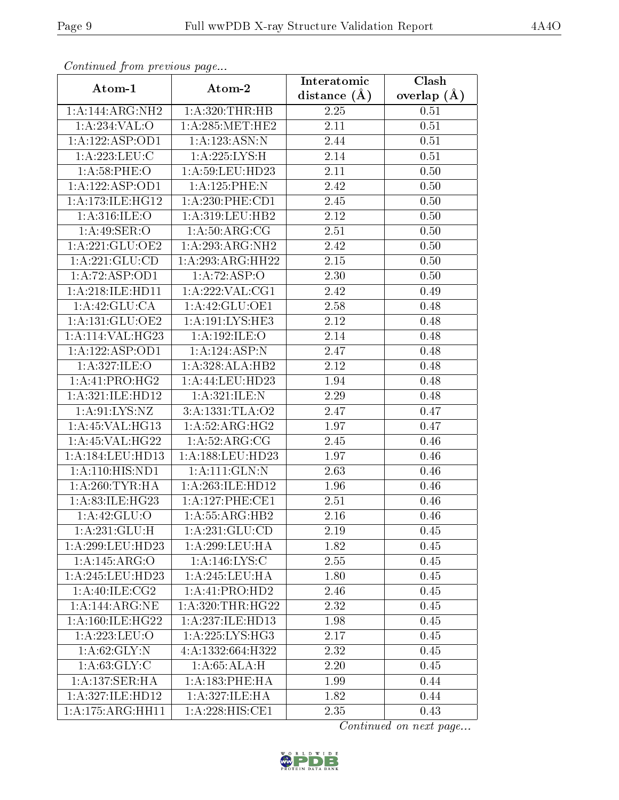| Communa from previous page |                      | Interatomic      | Clash         |
|----------------------------|----------------------|------------------|---------------|
| Atom-1                     | Atom-2               | distance $(\AA)$ | overlap $(A)$ |
| 1:A:144:ARG:NH2            | 1: A:320:THR:HB      | 2.25             | 0.51          |
| 1:A:234:VAL:O              | 1:A:285:MET:HE2      | 2.11             | 0.51          |
| 1:A:122:ASP:OD1            | 1: A: 123: ASN: N    | 2.44             | 0.51          |
| 1: A:223:LEU:C             | 1:A:225:LYS:H        | 2.14             | 0.51          |
| 1: A:58:PHE:O              | 1: A:59:LEU:HD23     | 2.11             | 0.50          |
| 1:A:122:ASP:OD1            | 1:A:125:PHE:N        | 2.42             | 0.50          |
| 1: A:173: ILE: HG12        | 1:A:230:PHE:CD1      | 2.45             | 0.50          |
| 1: A:316: ILE: O           | 1:A:319:LEU:HB2      | 2.12             | 0.50          |
| 1: A:49: SER:O             | 1: A:50: ARG:CG      | 2.51             | 0.50          |
| 1:A:221:GLU:OE2            | 1:A:293:ARG:NH2      | 2.42             | 0.50          |
| 1:A:221:GLU:CD             | 1:A:293:ARG:HH22     | 2.15             | 0.50          |
| 1:A:72:ASP:OD1             | 1:A:72:ASP:O         | 2.30             | 0.50          |
| 1:A:218:ILE:HD11           | 1:A:222:VAL:CG1      | 2.42             | 0.49          |
| 1:A:42:GLU:CA              | 1:A:42:GLU:OE1       | 2.58             | 0.48          |
| 1:A:131:GLU:OE2            | 1: A: 191: LYS: HE3  | 2.12             | 0.48          |
| 1:A:114:VAL:HG23           | 1:A:192:ILE:O        | 2.14             | 0.48          |
| 1:A:122:ASP:OD1            | 1:A:124:ASP:N        | 2.47             | 0.48          |
| 1: A:327: ILE: O           | 1:A:328:ALA:HB2      | 2.12             | 0.48          |
| 1:A:41:PRO:HG2             | 1:A:44:LEU:HD23      | 1.94             | 0.48          |
| 1:A:321:ILE:HD12           | 1: A:321: ILE:N      | 2.29             | 0.48          |
| 1: A:91: LYS: NZ           | 3:A:1331:TLA:O2      | 2.47             | 0.47          |
| 1: A:45: VAL:HG13          | 1: A:52: ARG:HG2     | 1.97             | 0.47          |
| 1: A:45: VAL:HG22          | 1: A:52: ARG:CG      | 2.45             | 0.46          |
| 1: A:184:LEU:HD13          | 1: A: 188: LEU: HD23 | 1.97             | 0.46          |
| 1: A: 110: HIS: ND1        | 1: A: 111: GLN: N    | 2.63             | 0.46          |
| 1: A:260:TYR:HA            | 1: A: 263: ILE: HD12 | 1.96             | 0.46          |
| 1:A:83:ILE:HG23            | 1:A:127:PHE:CE1      | 2.51             | 0.46          |
| 1:A:42:GLU:O               | 1: A:55: ARG:HB2     | 2.16             | 0.46          |
| 1: A:231: GLU: H           | 1:A:231:GLU:CD       | 2.19             | 0.45          |
| 1:A:299:LEU:HD23           | 1:A:299:LEU:HA       | 1.82             | 0.45          |
| 1:A:145:ARG:O              | 1:A:146:LYS:C        | 2.55             | 0.45          |
| 1:A:245:LEU:HD23           | 1: A:245:LEU:HA      | 1.80             | 0.45          |
| 1: A:40: ILE: CG2          | 1:A:41:PRO:HD2       | 2.46             | 0.45          |
| 1: A:144: ARG:NE           | 1: A:320:THR:HG22    | 2.32             | 0.45          |
| 1: A:160: ILE: HG22        | 1: A: 237: ILE: HD13 | 1.98             | 0.45          |
| 1:A:223:LEU:O              | 1:A:225:LYS:HG3      | 2.17             | 0.45          |
| 1: A:62: GLY:N             | 4:A:1332:664:H322    | 2.32             | 0.45          |
| 1: A:63: GLY: C            | 1:A:65:ALA:H         | 2.20             | 0.45          |
| 1:A:137:SER:HA             | 1: A: 183: PHE: HA   | 1.99             | 0.44          |
| 1:A:327:ILE:HD12           | 1:A:327:ILE:HA       | 1.82             | 0.44          |
| 1:A:175:ARG:HH11           | 1:A:228:HIS:CE1      | 2.35             | 0.43          |

Continued from previous page.

Continued on next page...

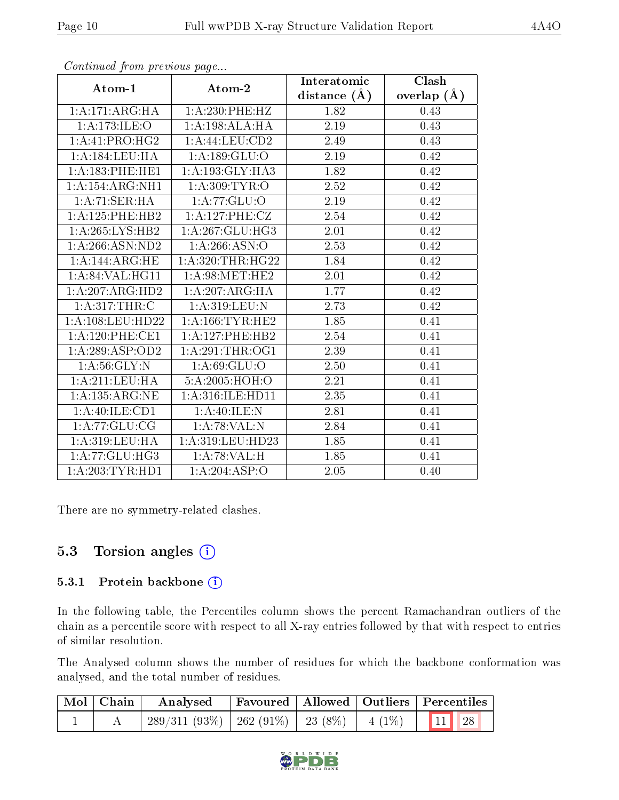| $\mathbf{r}$        | $\mathbf{r}$ $\mathbf{v}$ | Interatomic       | Clash           |
|---------------------|---------------------------|-------------------|-----------------|
| Atom-1              | Atom-2                    | distance $(\AA)$  | overlap $(\AA)$ |
| 1: A:171: ARG:HA    | 1:A:230:PHE:HZ            | 1.82              | 0.43            |
| 1:A:173:ILE:O       | 1:A:198:ALA:HA            | 2.19              | 0.43            |
| 1:A:41:PRO:HG2      | 1: A:44:LEU:CD2           | 2.49              | 0.43            |
| 1: A: 184: LEU: HA  | 1: A: 189: GLU: O         | 2.19              | 0.42            |
| 1:A:183:PHE:HE1     | 1:A:193:GLY:HA3           | 1.82              | 0.42            |
| 1:A:154:ARG:NH1     | 1:A:309:TYR:O             | 2.52              | 0.42            |
| 1:A:71:SER:HA       | 1: A:77: GLU:O            | 2.19              | 0.42            |
| 1: A: 125: PHE: HB2 | 1: A:127: PHE: CZ         | 2.54              | 0.42            |
| 1: A:265:LYS:HB2    | 1: A:267: GLU:HG3         | 2.01              | 0.42            |
| 1:A:266:ASN:ND2     | 1:A:266:ASN:O             | 2.53              | 0.42            |
| 1:A:144:ARG:HE      | 1: A:320:THR:HG22         | 1.84              | 0.42            |
| 1: A:84:VAL:HG11    | 1: A:98:MET:HE2           | 2.01              | 0.42            |
| 1: A:207: ARG:HD2   | 1:A:207:ARG:HA            | 1.77              | 0.42            |
| 1: A:317:THR:C      | 1: A:319: LEU: N          | $2.\overline{73}$ | 0.42            |
| 1:A:108:LEU:HD22    | 1: A: 166: TYR: HE2       | 1.85              | 0.41            |
| 1: A:120: PHE:CE1   | 1:A:127:PHE:HB2           | 2.54              | 0.41            |
| 1:A:289:ASP:OD2     | 1: A:291:THR:OG1          | 2.39              | 0.41            |
| 1: A:56: GLY:N      | 1: A:69: GLU:O            | $2.50\,$          | 0.41            |
| 1: A:211:LEU:HA     | 5:A:2005:HOH:O            | 2.21              | 0.41            |
| 1: A: 135: ARG: NE  | 1: A:316: ILE: HD11       | 2.35              | 0.41            |
| 1:A:40:ILE:CD1      | 1:A:40:ILE:N              | 2.81              | 0.41            |
| 1: A:77: GLU:CG     | 1:A:78:VAL:N              | 2.84              | 0.41            |
| 1:A:319:LEU:HA      | 1:A:319:LEU:HD23          | 1.85              | 0.41            |
| 1: A:77: GLU:HG3    | 1:A:78:VAL:H              | 1.85              | 0.41            |
| 1: A:203:TYR:HD1    | 1:A:204:ASP:O             | 2.05              | 0.40            |

Continued from previous page...

There are no symmetry-related clashes.

### 5.3 Torsion angles  $(i)$

#### 5.3.1 Protein backbone (i)

In the following table, the Percentiles column shows the percent Ramachandran outliers of the chain as a percentile score with respect to all X-ray entries followed by that with respect to entries of similar resolution.

The Analysed column shows the number of residues for which the backbone conformation was analysed, and the total number of residues.

| $\mid$ Mol $\mid$ Chain $\mid$ | Analysed Favoured   Allowed   Outliers Percentiles            |  |  |  |
|--------------------------------|---------------------------------------------------------------|--|--|--|
|                                | $\mid$ 289/311 (93%)   262 (91%)   23 (8%)   4 (1%)   11   28 |  |  |  |

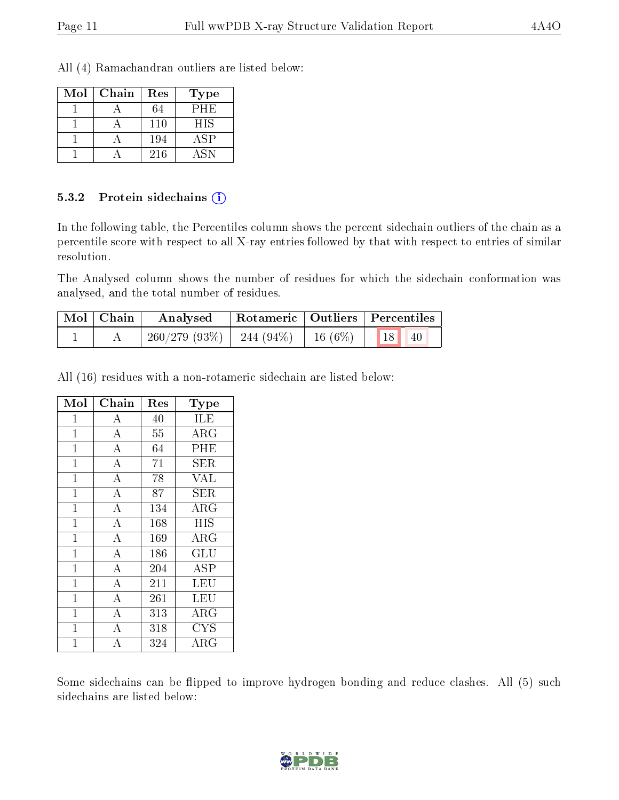All (4) Ramachandran outliers are listed below:

| Mol | Chain | Res | Type       |
|-----|-------|-----|------------|
|     |       |     | PHE        |
|     |       | 110 | <b>HIS</b> |
|     |       | 194 | <b>ASP</b> |
|     |       | 216 | ASN        |

#### 5.3.2 Protein sidechains (i)

In the following table, the Percentiles column shows the percent sidechain outliers of the chain as a percentile score with respect to all X-ray entries followed by that with respect to entries of similar resolution.

The Analysed column shows the number of residues for which the sidechain conformation was analysed, and the total number of residues.

| Mol   Chain | Analysed                                 | Rotameric   Outliers   Percentiles |  |       |  |
|-------------|------------------------------------------|------------------------------------|--|-------|--|
|             | $260/279$ (93\%)   244 (94\%)   16 (6\%) |                                    |  | 18 40 |  |

All (16) residues with a non-rotameric sidechain are listed below:

| Mol          | ${\rm Chain}$      | Res | <b>Type</b>             |
|--------------|--------------------|-----|-------------------------|
| 1            | А                  | 40  | ILE                     |
| $\mathbf{1}$ | $\overline{\rm A}$ | 55  | $\rm{ARG}$              |
| $\mathbf{1}$ | $\overline{\rm A}$ | 64  | PHE                     |
| $\mathbf{1}$ | $\overline{\rm A}$ | 71  | <b>SER</b>              |
| $\mathbf{1}$ | $\overline{\rm A}$ | 78  | <b>VAL</b>              |
| $\mathbf{1}$ | $\overline{\rm A}$ | 87  | <b>SER</b>              |
| $\mathbf{1}$ | $\overline{\rm A}$ | 134 | ARG                     |
| $\mathbf{1}$ | $\overline{\rm A}$ | 168 | <b>HIS</b>              |
| $\mathbf{1}$ | $\overline{\rm A}$ | 169 | ARG                     |
| $\mathbf{1}$ | $\overline{\rm A}$ | 186 | $\overline{{\rm GLU}}$  |
| $\mathbf{1}$ | $\boldsymbol{A}$   | 204 | ASP                     |
| $\mathbf{1}$ | $\bf{A}$           | 211 | LEU                     |
| $\mathbf{1}$ | $\overline{\rm A}$ | 261 | LEU                     |
| $\mathbf{1}$ | $\overline{\rm A}$ | 313 | ARG                     |
| $\mathbf{1}$ | $\overline{A}$     | 318 | $\overline{\text{CYS}}$ |
| 1            | А                  | 324 | ${\rm ARG}$             |

Some sidechains can be flipped to improve hydrogen bonding and reduce clashes. All (5) such sidechains are listed below:

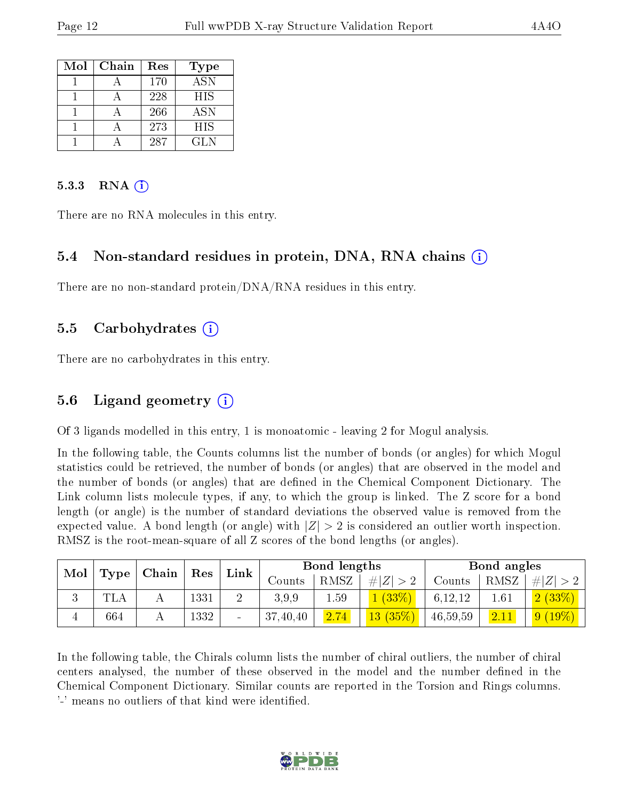| Mol | Chain | Res | <b>Type</b> |
|-----|-------|-----|-------------|
|     |       | 170 | <b>ASN</b>  |
|     |       | 228 | <b>HIS</b>  |
|     |       | 266 | <b>ASN</b>  |
|     |       | 273 | <b>HIS</b>  |
|     |       | 287 | GL N        |

#### $5.3.3$  RNA  $(i)$

There are no RNA molecules in this entry.

#### 5.4 Non-standard residues in protein, DNA, RNA chains (i)

There are no non-standard protein/DNA/RNA residues in this entry.

#### 5.5 Carbohydrates (i)

There are no carbohydrates in this entry.

#### 5.6 Ligand geometry (i)

Of 3 ligands modelled in this entry, 1 is monoatomic - leaving 2 for Mogul analysis.

In the following table, the Counts columns list the number of bonds (or angles) for which Mogul statistics could be retrieved, the number of bonds (or angles) that are observed in the model and the number of bonds (or angles) that are defined in the Chemical Component Dictionary. The Link column lists molecule types, if any, to which the group is linked. The Z score for a bond length (or angle) is the number of standard deviations the observed value is removed from the expected value. A bond length (or angle) with  $|Z| > 2$  is considered an outlier worth inspection. RMSZ is the root-mean-square of all Z scores of the bond lengths (or angles).

| Mol<br>Chain |            |  |      | Res |              |      |                 | Link     |          | Bond lengths           |  |  | Bond angles |  |  |
|--------------|------------|--|------|-----|--------------|------|-----------------|----------|----------|------------------------|--|--|-------------|--|--|
|              | Type       |  |      |     | Counts       | RMSZ | $\# Z $         | Counts   | RMSZ     | Z <br>$#^+$            |  |  |             |  |  |
| ιJ           | <b>TLA</b> |  | 1331 |     | 3.9.9        | 1.59 | $(33\%)$        | 6,12,12  | $1.61\,$ | 2(33%)                 |  |  |             |  |  |
|              | 664        |  | 1332 |     | .40,40<br>37 | 2.74 | $ 13 \ (35\%) $ | 46,59,59 | 2.11     | $(19\%)$<br>$\sqrt{9}$ |  |  |             |  |  |

In the following table, the Chirals column lists the number of chiral outliers, the number of chiral centers analysed, the number of these observed in the model and the number defined in the Chemical Component Dictionary. Similar counts are reported in the Torsion and Rings columns. '-' means no outliers of that kind were identified.

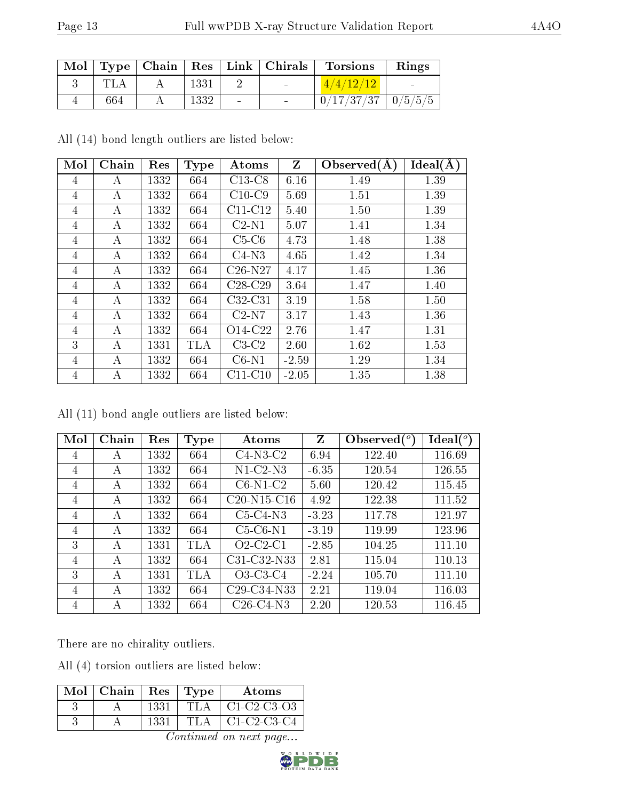|     |      | Mol   Type   Chain   Res   Link   Chirals | Torsions                 | Rings                    |
|-----|------|-------------------------------------------|--------------------------|--------------------------|
|     | 1331 | <b>Contract</b>                           | 4/4/12/12                | <b>Contract Contract</b> |
| 664 | 1332 |                                           | $0/17/37/37$   $0/5/5/5$ |                          |

All (14) bond length outliers are listed below:

| Mol            | Chain | Res  | <b>Type</b> | Atoms     | $Z_{\rm}$ | Observed $(A)$ | Ideal(A) |
|----------------|-------|------|-------------|-----------|-----------|----------------|----------|
| 4              | А     | 1332 | 664         | $C13-C8$  | 6.16      | 1.49           | 1.39     |
| 4              | А     | 1332 | 664         | $C10-C9$  | 5.69      | 1.51           | 1.39     |
| 4              | А     | 1332 | 664         | $C11-C12$ | 5.40      | 1.50           | 1.39     |
| 4              | А     | 1332 | 664         | $C2-N1$   | 5.07      | 1.41           | 1.34     |
| 4              | А     | 1332 | 664         | $C5-C6$   | 4.73      | 1.48           | 1.38     |
| 4              | А     | 1332 | 664         | $C4-N3$   | 4.65      | 1.42           | 1.34     |
| $\overline{4}$ | А     | 1332 | 664         | $C26-N27$ | 4.17      | 1.45           | 1.36     |
| $\overline{4}$ | А     | 1332 | 664         | $C28-C29$ | 3.64      | 1.47           | 1.40     |
| 4              | А     | 1332 | 664         | $C32-C31$ | 3.19      | 1.58           | 1.50     |
| 4              | А     | 1332 | 664         | $C2-N7$   | 3.17      | 1.43           | 1.36     |
| 4              | А     | 1332 | 664         | O14-C22   | 2.76      | 1.47           | 1.31     |
| 3              | А     | 1331 | TLA         | $C3-C2$   | 2.60      | 1.62           | 1.53     |
| 4              | А     | 1332 | 664         | $C6-N1$   | $-2.59$   | 1.29           | 1.34     |
| 4              | А     | 1332 | 664         | $C11-C10$ | $-2.05$   | 1.35           | 1.38     |

All (11) bond angle outliers are listed below:

| Mol | Chain | Res  | <b>Type</b> | Atoms         | Z       | Observed $(°)$ | $\text{Ideal}({}^o)$ |
|-----|-------|------|-------------|---------------|---------|----------------|----------------------|
| 4   | А     | 1332 | 664         | $C4-N3-C2$    | 6.94    | 122.40         | 116.69               |
| 4   | А     | 1332 | 664         | $N1-C2-N3$    | $-6.35$ | 120.54         | 126.55               |
| 4   | А     | 1332 | 664         | $C6-N1-C2$    | 5.60    | 120.42         | 115.45               |
| 4   | А     | 1332 | 664         | $C20-N15-C16$ | 4.92    | 122.38         | 111.52               |
| 4   | А     | 1332 | 664         | $C5-C4-N3$    | $-3.23$ | 117.78         | 121.97               |
| 4   | А     | 1332 | 664         | $C5-C6-N1$    | $-3.19$ | 119.99         | 123.96               |
| 3   | А     | 1331 | <b>TLA</b>  | $O2-C2-C1$    | $-2.85$ | 104.25         | 111.10               |
| 4   | А     | 1332 | 664         | C31-C32-N33   | 2.81    | 115.04         | 110.13               |
| 3   | А     | 1331 | TLA         | $O3-C3-C4$    | $-2.24$ | 105.70         | 111.10               |
| 4   | А     | 1332 | 664         | $C29-C34-N33$ | 2.21    | 119.04         | 116.03               |
| 4   | А     | 1332 | 664         | $C26-C4-N3$   | 2.20    | 120.53         | 116.45               |

There are no chirality outliers.

All (4) torsion outliers are listed below:

| $Mol$   Chain | Res  | Type | Atoms         |
|---------------|------|------|---------------|
|               | 1331 | TI A | $C1-C2-C3-03$ |
|               | 1331 | TL A | $C1-C2-C3-C4$ |

Continued on next page...

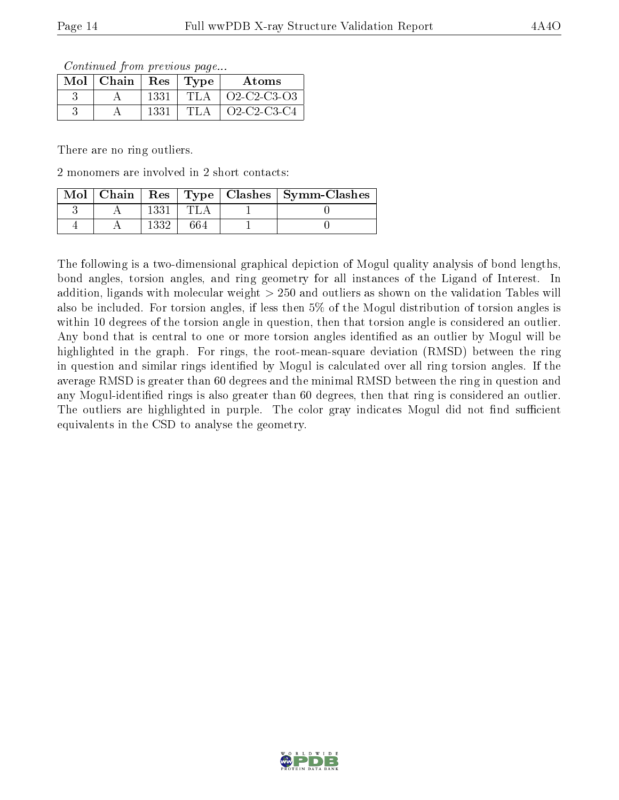Continued from previous page...

| $Mol$   Chain |      | Res   Type | Atoms       |
|---------------|------|------------|-------------|
|               | 1331 | 'TLA       | Q2-C2-C3-Q3 |
|               | 1331 | 'TLA       | Q2-C2-C3-C4 |

There are no ring outliers.

2 monomers are involved in 2 short contacts:

|  |  | Mol   Chain   Res   Type   Clashes   Symm-Clashes |
|--|--|---------------------------------------------------|
|  |  |                                                   |
|  |  |                                                   |

The following is a two-dimensional graphical depiction of Mogul quality analysis of bond lengths, bond angles, torsion angles, and ring geometry for all instances of the Ligand of Interest. In addition, ligands with molecular weight > 250 and outliers as shown on the validation Tables will also be included. For torsion angles, if less then 5% of the Mogul distribution of torsion angles is within 10 degrees of the torsion angle in question, then that torsion angle is considered an outlier. Any bond that is central to one or more torsion angles identified as an outlier by Mogul will be highlighted in the graph. For rings, the root-mean-square deviation (RMSD) between the ring in question and similar rings identified by Mogul is calculated over all ring torsion angles. If the average RMSD is greater than 60 degrees and the minimal RMSD between the ring in question and any Mogul-identified rings is also greater than 60 degrees, then that ring is considered an outlier. The outliers are highlighted in purple. The color gray indicates Mogul did not find sufficient equivalents in the CSD to analyse the geometry.

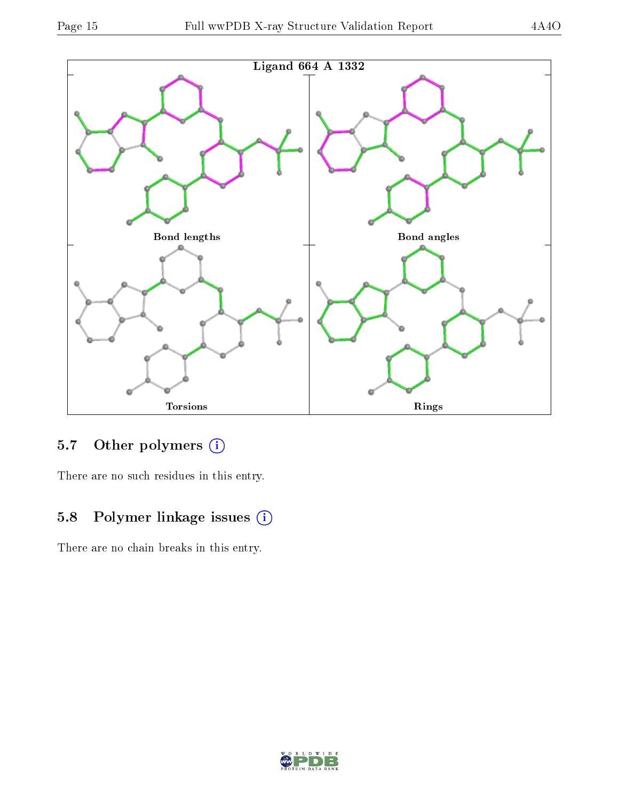

## 5.7 [O](https://www.wwpdb.org/validation/2017/XrayValidationReportHelp#nonstandard_residues_and_ligands)ther polymers (i)

There are no such residues in this entry.

## 5.8 Polymer linkage issues (i)

There are no chain breaks in this entry.

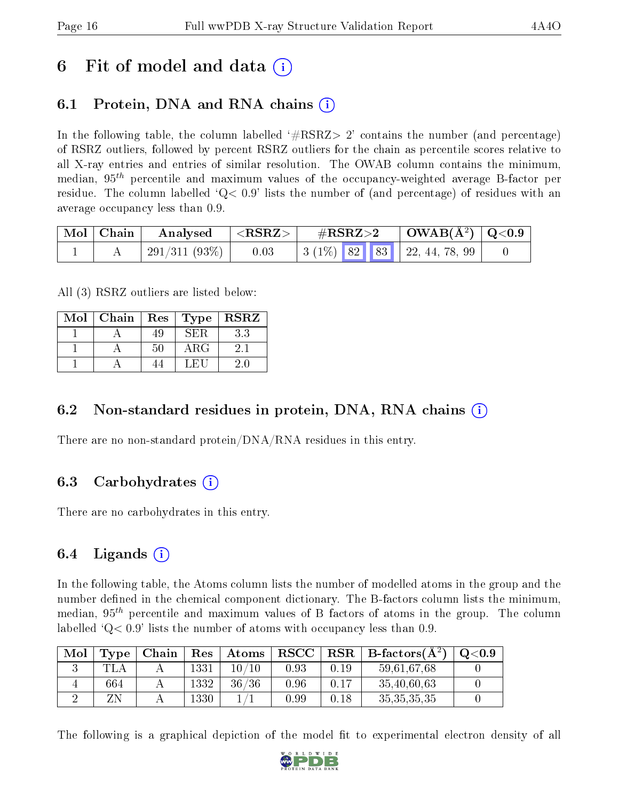## 6 Fit of model and data  $\left( \cdot \right)$

## 6.1 Protein, DNA and RNA chains (i)

In the following table, the column labelled  $#RSRZ> 2'$  contains the number (and percentage) of RSRZ outliers, followed by percent RSRZ outliers for the chain as percentile scores relative to all X-ray entries and entries of similar resolution. The OWAB column contains the minimum, median,  $95<sup>th</sup>$  percentile and maximum values of the occupancy-weighted average B-factor per residue. The column labelled  $Q < 0.9$  lists the number of (and percentage) of residues with an average occupancy less than 0.9.

| Mol   Chain | $\boldsymbol{\mathrm{Analysed}}$ | $ \langle \mathrm{RSRZ} \rangle $ | $\rm \#RSRZ{>}2$ |  | $\mid$ OWAB(Å <sup>2</sup> ) $\mid$ Q<0.9 $\mid$ |  |
|-------------|----------------------------------|-----------------------------------|------------------|--|--------------------------------------------------|--|
|             | $291/311(93\%)$                  | 0.03                              |                  |  | $\vert$ 3 (1%) 82 83 22, 44, 78, 99              |  |

All (3) RSRZ outliers are listed below:

| Mol | Chain   Res |    | $\sqrt{\text{Type}}$ | $\mid$ RSRZ |
|-----|-------------|----|----------------------|-------------|
|     |             | 49 | 8ЕЖ.                 | 3.3         |
|     |             | 50 | $\rm{ARG}$           | 2.1         |
|     |             |    | 工民口                  | 20          |

### 6.2 Non-standard residues in protein, DNA, RNA chains  $(i)$

There are no non-standard protein/DNA/RNA residues in this entry.

### 6.3 Carbohydrates (i)

There are no carbohydrates in this entry.

### 6.4 Ligands  $(i)$

In the following table, the Atoms column lists the number of modelled atoms in the group and the number defined in the chemical component dictionary. The B-factors column lists the minimum, median,  $95<sup>th</sup>$  percentile and maximum values of B factors of atoms in the group. The column labelled  $Q< 0.9$ ' lists the number of atoms with occupancy less than 0.9.

| Mol | Type | Chain |          | $Res$   Atoms | ${\bf RSCC}$ |      | $\text{RSR} \parallel \text{B-factors}(\AA^2)$ | Q <sub>0.9</sub> |
|-----|------|-------|----------|---------------|--------------|------|------------------------------------------------|------------------|
|     |      |       | $1331\,$ | 10 /<br>10    | 0.93         | 0.19 | 59,61,67,68                                    |                  |
|     | 664  |       | 1332     | 36/36         | 0.96         | 0.17 | 35,40,60,63                                    |                  |
|     |      |       | 1330     |               | 99.ر         | 0.18 | 35, 35, 35, 35                                 |                  |

The following is a graphical depiction of the model fit to experimental electron density of all